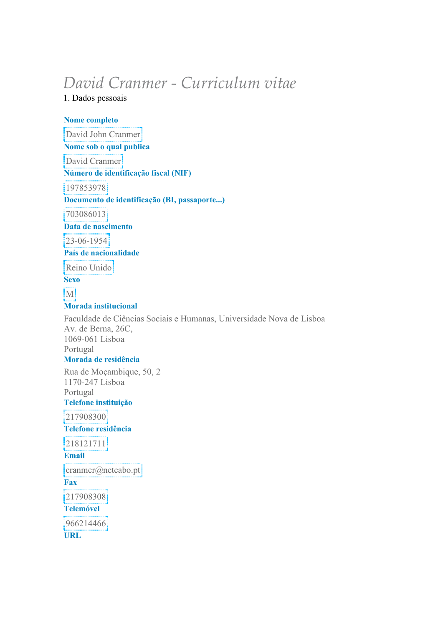# *David Cranmer - Curriculum vitae*

1. Dados pessoais

**Nome completo** 

David John Cranmer

**Nome sob o qual publica** 

David Cranmer

**Número de identificação fiscal (NIF)** 

197853978

**Documento de identificação (BI, passaporte...)** 

703086013

**Data de nascimento** 

23-06-1954

**País de nacionalidade** 

Reino Unido

**Sexo** 

M

**Morada institucional** 

Faculdade de Ciências Sociais e Humanas, Universidade Nova de Lisboa Av. de Berna, 26C, 1069-061 Lisboa Portugal **Morada de residência**  Rua de Moçambique, 50, 2 1170-247 Lisboa Portugal **Telefone instituição**  217908300 **Telefone residência**  218121711 **Email**   $\text{cranner}(a)$ netcabo.pt **Fax**  217908308

**Telemóvel** 

966214466

**URL**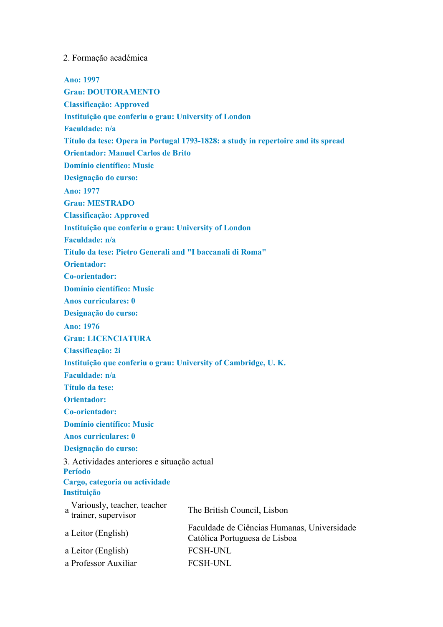#### 2. Formação académica

**Ano: 1997 Grau: DOUTORAMENTO Classificação: Approved Instituição que conferiu o grau: University of London Faculdade: n/a Título da tese: Opera in Portugal 1793-1828: a study in repertoire and its spread Orientador: Manuel Carlos de Brito Domínio científico: Music Designação do curso: Ano: 1977 Grau: MESTRADO Classificação: Approved Instituição que conferiu o grau: University of London Faculdade: n/a Título da tese: Pietro Generali and "I baccanali di Roma" Orientador: Co-orientador: Domínio científico: Music Anos curriculares: 0 Designação do curso: Ano: 1976 Grau: LICENCIATURA Classificação: 2i Instituição que conferiu o grau: University of Cambridge, U. K. Faculdade: n/a Título da tese: Orientador: Co-orientador: Domínio científico: Music Anos curriculares: 0 Designação do curso:**  3. Actividades anteriores e situação actual **Período Cargo, categoria ou actividade Instituição**  a Variously, teacher, teacher<br>
trainer, supervisor<br>
The British Council, Lisbon a Leitor (English) Faculdade de Ciências Humanas, Universidade Católica Portuguesa de Lisboa a Leitor (English) FCSH-UNL a Professor Auxiliar FCSH-UNL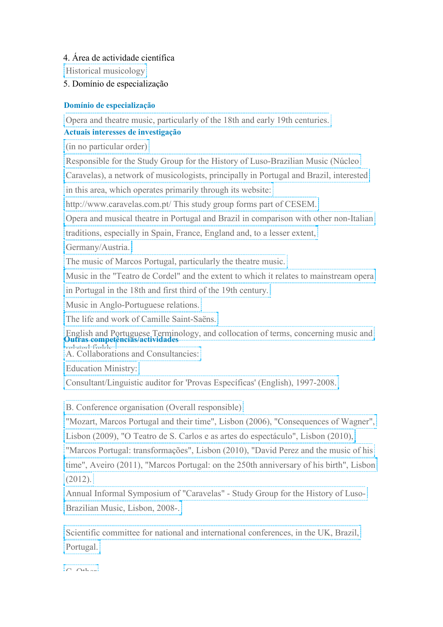4. Área de actividade científica

Historical musicology

5. Domínio de especialização

# **Domínio de especialização**

Opera and theatre music, particularly of the 18th and early 19th centuries.

# **Actuais interesses de investigação**

(in no particular order)

Responsible for the Study Group for the History of Luso-Brazilian Music (Núcleo

Caravelas), a network of musicologists, principally in Portugal and Brazil, interested

in this area, which operates primarily through its website:

http://www.caravelas.com.pt/ This study group forms part of CESEM.

Opera and musical theatre in Portugal and Brazil in comparison with other non-Italian

traditions, especially in Spain, France, England and, to a lesser extent,

Germany/Austria.

The music of Marcos Portugal, particularly the theatre music.

Music in the "Teatro de Cordel" and the extent to which it relates to mainstream opera

in Portugal in the 18th and first third of the 19th century.

Music in Anglo-Portuguese relations.

The life and work of Camille Saint-Saëns.

English and Portuguese Terminology, and collocation of terms, concerning music and **Outras competências/actividades**  redariesal-Aestalatemb<br>A. C. 11-1

A. Collaborations and Consultancies:

Education Ministry:

Consultant/Linguistic auditor for 'Provas Específicas' (English), 1997-2008.

B. Conference organisation (Overall responsible)

"Mozart, Marcos Portugal and their time", Lisbon (2006), "Consequences of Wagner", Lisbon (2009), "O Teatro de S. Carlos e as artes do espectáculo", Lisbon (2010),

"Marcos Portugal: transformações", Lisbon (2010), "David Perez and the music of his

time", Aveiro (2011), "Marcos Portugal: on the 250th anniversary of his birth", Lisbon (2012).

Annual Informal Symposium of "Caravelas" - Study Group for the History of Luso-Brazilian Music, Lisbon, 2008-.

Scientific committee for national and international conferences, in the UK, Brazil, Portugal.

 $\sqrt{a}$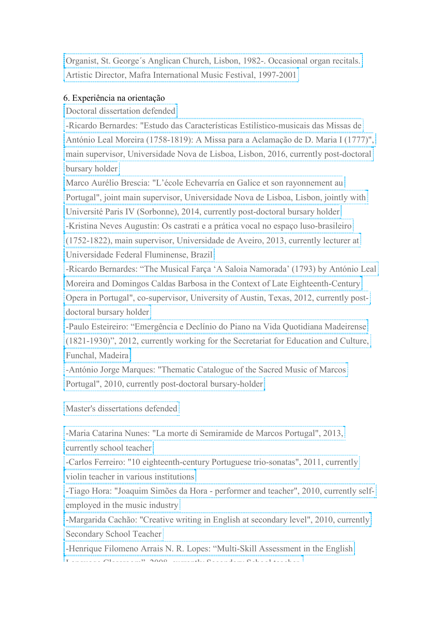Organist, St. George´s Anglican Church, Lisbon, 1982-. Occasional organ recitals. Artistic Director, Mafra International Music Festival, 1997-2001

# 6. Experiência na orientação

Doctoral dissertation defended

-Ricardo Bernardes: "Estudo das Características Estilístico-musicais das Missas de

António Leal Moreira (1758-1819): A Missa para a Aclamação de D. Maria I (1777)",

main supervisor, Universidade Nova de Lisboa, Lisbon, 2016, currently post-doctoral bursary holder

Marco Aurélio Brescia: "L'école Echevarría en Galice et son rayonnement au

Portugal", joint main supervisor, Universidade Nova de Lisboa, Lisbon, jointly with

Université Paris IV (Sorbonne), 2014, currently post-doctoral bursary holder

-Kristina Neves Augustin: Os castrati e a prática vocal no espaço luso-brasileiro

(1752-1822), main supervisor, Universidade de Aveiro, 2013, currently lecturer at Universidade Federal Fluminense, Brazil

-Ricardo Bernardes: "The Musical Farça 'A Saloia Namorada' (1793) by António Leal

Moreira and Domingos Caldas Barbosa in the Context of Late Eighteenth-Century

Opera in Portugal", co-supervisor, University of Austin, Texas, 2012, currently postdoctoral bursary holder

-Paulo Esteireiro: "Emergência e Declínio do Piano na Vida Quotidiana Madeirense (1821-1930)", 2012, currently working for the Secretariat for Education and Culture, Funchal, Madeira

-António Jorge Marques: "Thematic Catalogue of the Sacred Music of Marcos Portugal", 2010, currently post-doctoral bursary-holder

Master's dissertations defended

-Maria Catarina Nunes: "La morte di Semiramide de Marcos Portugal", 2013, currently school teacher

-Carlos Ferreiro: "10 eighteenth-century Portuguese trio-sonatas", 2011, currently violin teacher in various institutions

-Tiago Hora: "Joaquim Simões da Hora - performer and teacher", 2010, currently selfemployed in the music industry

-Margarida Cachão: "Creative writing in English at secondary level", 2010, currently Secondary School Teacher

-Henrique Filomeno Arrais N. R. Lopes: "Multi-Skill Assessment in the English Language Classroom", 2008, currently Secondary School teacher.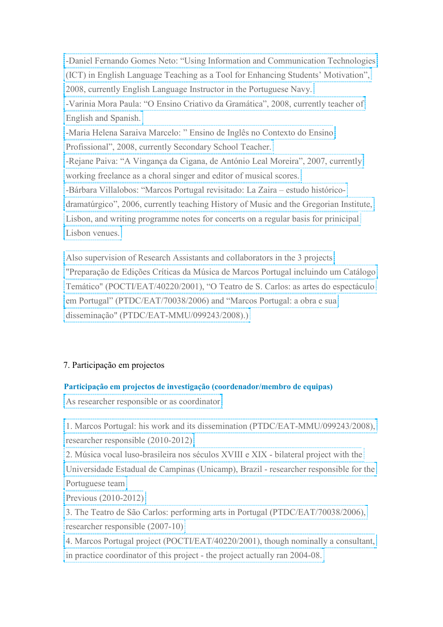-Daniel Fernando Gomes Neto: "Using Information and Communication Technologies (ICT) in English Language Teaching as a Tool for Enhancing Students' Motivation", 2008, currently English Language Instructor in the Portuguese Navy. -Varinia Mora Paula: "O Ensino Criativo da Gramática", 2008, currently teacher of English and Spanish. -Maria Helena Saraiva Marcelo: " Ensino de Inglês no Contexto do Ensino Profissional", 2008, currently Secondary School Teacher. -Rejane Paiva: "A Vingança da Cigana, de António Leal Moreira", 2007, currently working freelance as a choral singer and editor of musical scores. -Bárbara Villalobos: "Marcos Portugal revisitado: La Zaira – estudo históricodramatúrgico", 2006, currently teaching History of Music and the Gregorian Institute, Lisbon, and writing programme notes for concerts on a regular basis for prinicipal Lisbon venues.

Also supervision of Research Assistants and collaborators in the 3 projects "Preparação de Edições Críticas da Música de Marcos Portugal incluindo um Catálogo Temático" (POCTI/EAT/40220/2001), "O Teatro de S. Carlos: as artes do espectáculo em Portugal" (PTDC/EAT/70038/2006) and "Marcos Portugal: a obra e sua disseminação" (PTDC/EAT-MMU/099243/2008).)

# 7. Participação em projectos

# **Participação em projectos de investigação (coordenador/membro de equipas)**

As researcher responsible or as coordinator

1. Marcos Portugal: his work and its dissemination (PTDC/EAT-MMU/099243/2008), researcher responsible (2010-2012)

2. Música vocal luso-brasileira nos séculos XVIII e XIX - bilateral project with the

Universidade Estadual de Campinas (Unicamp), Brazil - researcher responsible for the Portuguese team

Previous (2010-2012)

3. The Teatro de São Carlos: performing arts in Portugal (PTDC/EAT/70038/2006), researcher responsible (2007-10)

4. Marcos Portugal project (POCTI/EAT/40220/2001), though nominally a consultant, in practice coordinator of this project - the project actually ran 2004-08.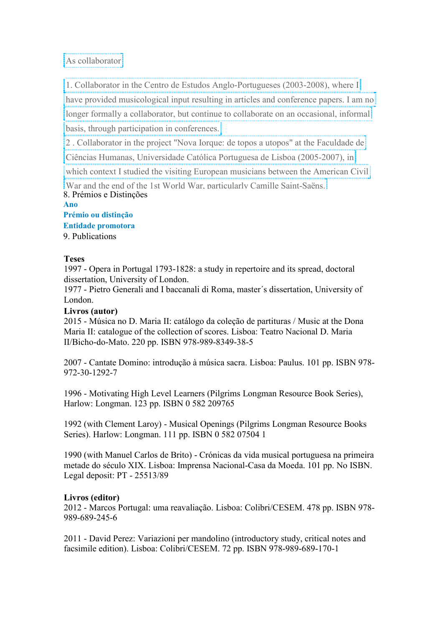As collaborator

1. Collaborator in the Centro de Estudos Anglo-Portugueses (2003-2008), where I

have provided musicological input resulting in articles and conference papers. I am no

longer formally a collaborator, but continue to collaborate on an occasional, informal

basis, through participation in conferences.

2 . Collaborator in the project "Nova Iorque: de topos a utopos" at the Faculdade de

Ciências Humanas, Universidade Católica Portuguesa de Lisboa (2005-2007), in

which context I studied the visiting European musicians between the American Civil

War and the end of the 1st World War, particularly Camille Saint-Saëns. 8. Prémios e Distinções

**Ano** 

**Prémio ou distinção Entidade promotora**  9. Publications

# **Teses**

1997 - Opera in Portugal 1793-1828: a study in repertoire and its spread, doctoral dissertation, University of London.

1977 - Pietro Generali and I baccanali di Roma, master´s dissertation, University of London.

# **Livros (autor)**

2015 - Música no D. Maria II: catálogo da coleção de partituras / Music at the Dona Maria II: catalogue of the collection of scores. Lisboa: Teatro Nacional D. Maria II/Bicho-do-Mato. 220 pp. ISBN 978-989-8349-38-5

2007 - Cantate Domino: introdução à música sacra. Lisboa: Paulus. 101 pp. ISBN 978- 972-30-1292-7

1996 - Motivating High Level Learners (Pilgrims Longman Resource Book Series), Harlow: Longman. 123 pp. ISBN 0 582 209765

1992 (with Clement Laroy) - Musical Openings (Pilgrims Longman Resource Books Series). Harlow: Longman. 111 pp. ISBN 0 582 07504 1

1990 (with Manuel Carlos de Brito) - Crónicas da vida musical portuguesa na primeira metade do século XIX. Lisboa: Imprensa Nacional-Casa da Moeda. 101 pp. No ISBN. Legal deposit: PT - 25513/89

# **Livros (editor)**

2012 - Marcos Portugal: uma reavaliação. Lisboa: Colibri/CESEM. 478 pp. ISBN 978- 989-689-245-6

2011 - David Perez: Variazioni per mandolino (introductory study, critical notes and facsimile edition). Lisboa: Colibri/CESEM. 72 pp. ISBN 978-989-689-170-1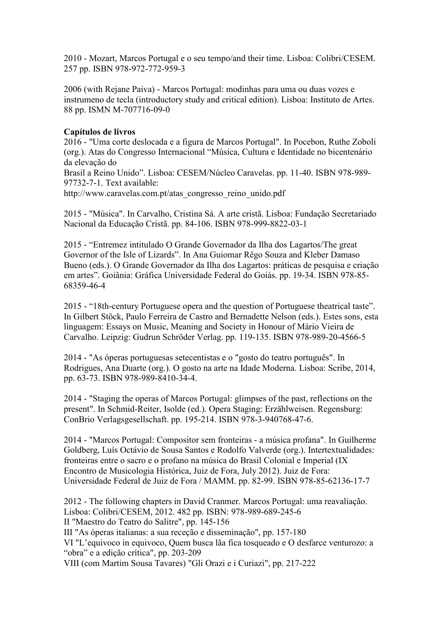2010 - Mozart, Marcos Portugal e o seu tempo/and their time. Lisboa: Colibri/CESEM. 257 pp. ISBN 978-972-772-959-3

2006 (with Rejane Paiva) - Marcos Portugal: modinhas para uma ou duas vozes e instrumeno de tecla (introductory study and critical edition). Lisboa: Instituto de Artes. 88 pp. ISMN M-707716-09-0

#### **Capítulos de livros**

2016 - "Uma corte deslocada e a figura de Marcos Portugal". In Pocebon, Ruthe Zoboli (org.). Atas do Congresso Internacional "Música, Cultura e Identidade no bicentenário da elevação do

Brasil a Reino Unido". Lisboa: CESEM/Núcleo Caravelas. pp. 11-40. ISBN 978-989- 97732-7-1. Text available:

http://www.caravelas.com.pt/atas\_congresso\_reino\_unido.pdf

2015 - "Música". In Carvalho, Cristina Sá. A arte cristã. Lisboa: Fundação Secretariado Nacional da Educação Cristã. pp. 84-106. ISBN 978-999-8822-03-1

2015 - "Entremez intitulado O Grande Governador da Ilha dos Lagartos/The great Governor of the Isle of Lizards". In Ana Guiomar Rêgo Souza and Kleber Damaso Bueno (eds.). O Grande Governador da Ilha dos Lagartos: práticas de pesquisa e criação em artes". Goiânia: Gráfica Universidade Federal do Goiás. pp. 19-34. ISBN 978-85- 68359-46-4

2015 - "18th-century Portuguese opera and the question of Portuguese theatrical taste". In Gilbert Stöck, Paulo Ferreira de Castro and Bernadette Nelson (eds.). Estes sons, esta linguagem: Essays on Music, Meaning and Society in Honour of Mário Vieira de Carvalho. Leipzig: Gudrun Schröder Verlag. pp. 119-135. ISBN 978-989-20-4566-5

2014 - "As óperas portuguesas setecentistas e o "gosto do teatro português". In Rodrigues, Ana Duarte (org.). O gosto na arte na Idade Moderna. Lisboa: Scribe, 2014, pp. 63-73. ISBN 978-989-8410-34-4.

2014 - "Staging the operas of Marcos Portugal: glimpses of the past, reflections on the present". In Schmid-Reiter, Isolde (ed.). Opera Staging: Erzählweisen. Regensburg: ConBrio Verlagsgesellschaft. pp. 195-214. ISBN 978-3-940768-47-6.

2014 - "Marcos Portugal: Compositor sem fronteiras - a música profana". In Guilherme Goldberg, Luís Octávio de Sousa Santos e Rodolfo Valverde (org.). Intertextualidades: fronteiras entre o sacro e o profano na música do Brasil Colonial e Imperial (IX Encontro de Musicologia Histórica, Juiz de Fora, July 2012). Juiz de Fora: Universidade Federal de Juiz de Fora / MAMM. pp. 82-99. ISBN 978-85-62136-17-7

2012 - The following chapters in David Cranmer. Marcos Portugal: uma reavaliação. Lisboa: Colibri/CESEM, 2012. 482 pp. ISBN: 978-989-689-245-6 II "Maestro do Teatro do Salitre", pp. 145-156 III "As óperas italianas: a sua receção e disseminação", pp. 157-180 VI "L'equivoco in equivoco, Quem busca lãa fica tosqueado e O desfarce venturozo: a "obra" e a edição crítica", pp. 203-209 VIII (com Martim Sousa Tavares) "Gli Orazi e i Curiazi", pp. 217-222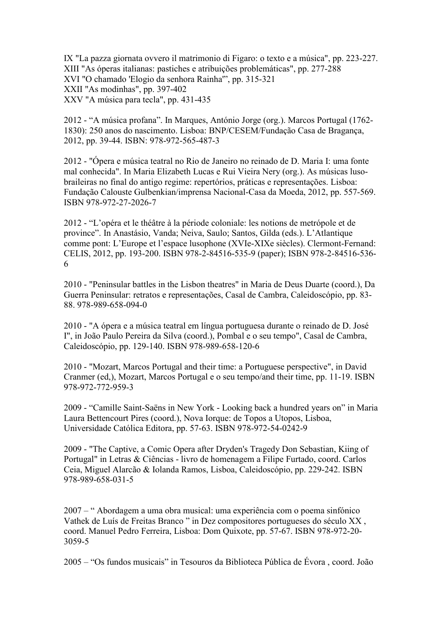IX "La pazza giornata ovvero il matrimonio di Figaro: o texto e a música", pp. 223-227. XIII "As óperas italianas: pastiches e atribuições problemáticas", pp. 277-288 XVI "O chamado 'Elogio da senhora Rainha'", pp. 315-321 XXII "As modinhas", pp. 397-402 XXV "A música para tecla", pp. 431-435

2012 - "A música profana". In Marques, António Jorge (org.). Marcos Portugal (1762- 1830): 250 anos do nascimento. Lisboa: BNP/CESEM/Fundação Casa de Bragança, 2012, pp. 39-44. ISBN: 978-972-565-487-3

2012 - "Ópera e música teatral no Rio de Janeiro no reinado de D. Maria I: uma fonte mal conhecida". In Maria Elizabeth Lucas e Rui Vieira Nery (org.). As músicas lusobraileiras no final do antigo regime: repertórios, práticas e representações. Lisboa: Fundação Calouste Gulbenkian/imprensa Nacional-Casa da Moeda, 2012, pp. 557-569. ISBN 978-972-27-2026-7

2012 - "L'opéra et le théâtre à la période coloniale: les notions de metrópole et de province". In Anastásio, Vanda; Neiva, Saulo; Santos, Gilda (eds.). L'Atlantique comme pont: L'Europe et l'espace lusophone (XVIe-XIXe siècles). Clermont-Fernand: CELIS, 2012, pp. 193-200. ISBN 978-2-84516-535-9 (paper); ISBN 978-2-84516-536- 6

2010 - "Peninsular battles in the Lisbon theatres" in Maria de Deus Duarte (coord.), Da Guerra Peninsular: retratos e representações, Casal de Cambra, Caleidoscópio, pp. 83- 88. 978-989-658-094-0

2010 - "A ópera e a música teatral em língua portuguesa durante o reinado de D. José I", in João Paulo Pereira da Silva (coord.), Pombal e o seu tempo", Casal de Cambra, Caleidoscópio, pp. 129-140. ISBN 978-989-658-120-6

2010 - "Mozart, Marcos Portugal and their time: a Portuguese perspective", in David Cranmer (ed,), Mozart, Marcos Portugal e o seu tempo/and their time, pp. 11-19. ISBN 978-972-772-959-3

2009 - "Camille Saint-Saëns in New York - Looking back a hundred years on" in Maria Laura Bettencourt Pires (coord.), Nova Iorque: de Topos a Utopos, Lisboa, Universidade Católica Editora, pp. 57-63. ISBN 978-972-54-0242-9

2009 - "The Captive, a Comic Opera after Dryden's Tragedy Don Sebastian, Kiing of Portugal" in Letras & Ciências - livro de homenagem a Filipe Furtado, coord. Carlos Ceia, Miguel Alarcão & Iolanda Ramos, Lisboa, Caleidoscópio, pp. 229-242. ISBN 978-989-658-031-5

2007 – " Abordagem a uma obra musical: uma experiência com o poema sinfónico Vathek de Luís de Freitas Branco " in Dez compositores portugueses do século XX , coord. Manuel Pedro Ferreira, Lisboa: Dom Quixote, pp. 57-67. ISBN 978-972-20- 3059-5

2005 – "Os fundos musicais" in Tesouros da Biblioteca Pública de Évora , coord. João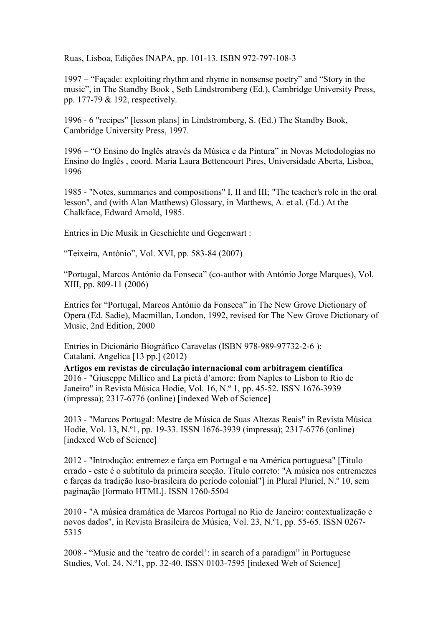Ruas, Lisboa, Edições INAPA, pp. 101-13. ISBN 972-797-108-3

1997 – "Façade: exploiting rhythm and rhyme in nonsense poetry" and "Story in the music", in The Standby Book , Seth Lindstromberg (Ed.), Cambridge University Press, pp. 177-79 & 192, respectively.

1996 - 6 "recipes" [lesson plans] in Lindstromberg, S. (Ed.) The Standby Book, Cambridge University Press, 1997.

1996 – "O Ensino do Inglês através da Música e da Pintura" in Novas Metodologias no Ensino do Inglês , coord. Maria Laura Bettencourt Pires, Universidade Aberta, Lisboa, 1996

1985 - "Notes, summaries and compositions" I, II and III; "The teacher's role in the oral lesson", and (with Alan Matthews) Glossary, in Matthews, A. et al. (Ed.) At the Chalkface, Edward Arnold, 1985.

Entries in Die Musik in Geschichte und Gegenwart :

"Teixeira, António", Vol. XVI, pp. 583-84 (2007)

"Portugal, Marcos António da Fonseca" (co-author with António Jorge Marques), Vol. XIII, pp. 809-11 (2006)

Entries for "Portugal, Marcos António da Fonseca" in The New Grove Dictionary of Opera (Ed. Sadie), Macmillan, London, 1992, revised for The New Grove Dictionary of Music, 2nd Edition, 2000

Entries in Dicionário Biográfico Caravelas (ISBN 978-989-97732-2-6 ): Catalani, Angelica [13 pp.] (2012)

**Artigos em revistas de circulação internacional com arbitragem científica** 2016 - "Giuseppe Millico and La pietà d'amore: from Naples to Lisbon to Rio de Janeiro" in Revista Música Hodie, Vol. 16, N.º 1, pp. 45-52. ISSN 1676-3939 (impressa); 2317-6776 (online) [indexed Web of Science]

2013 - "Marcos Portugal: Mestre de Música de Suas Altezas Reais" in Revista Música Hodie, Vol. 13, N.º1, pp. 19-33. ISSN 1676-3939 (impressa); 2317-6776 (online) [indexed Web of Science]

2012 - "Introdução: entremez e farça em Portugal e na América portuguesa" [Título errado - este é o subtítulo da primeira secção. Título correto: "A música nos entremezes e farças da tradição luso-brasileira do período colonial"] in Plural Pluriel, N.º 10, sem paginação [formato HTML]. ISSN 1760-5504

2010 - "A música dramática de Marcos Portugal no Rio de Janeiro: contextualização e novos dados", in Revista Brasileira de Música, Vol. 23, N.º1, pp. 55-65. ISSN 0267- 5315

2008 - "Music and the 'teatro de cordel': in search of a paradigm" in Portuguese Studies, Vol. 24, N.º1, pp. 32-40. ISSN 0103-7595 [indexed Web of Science]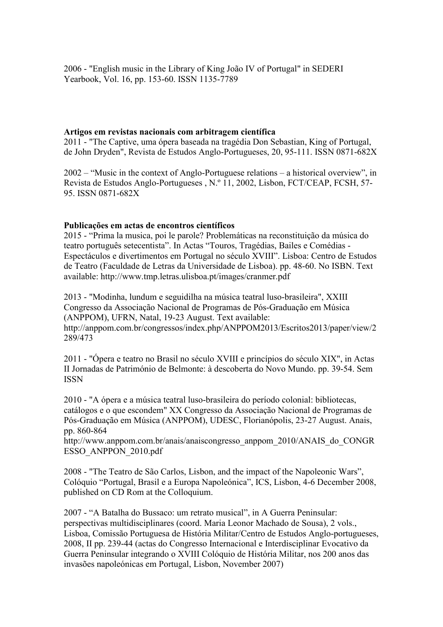2006 - "English music in the Library of King João IV of Portugal" in SEDERI Yearbook, Vol. 16, pp. 153-60. ISSN 1135-7789

#### **Artigos em revistas nacionais com arbitragem científica**

2011 - "The Captive, uma ópera baseada na tragédia Don Sebastian, King of Portugal, de John Dryden", Revista de Estudos Anglo-Portugueses, 20, 95-111. ISSN 0871-682X

2002 – "Music in the context of Anglo-Portuguese relations – a historical overview", in Revista de Estudos Anglo-Portugueses , N.º 11, 2002, Lisbon, FCT/CEAP, FCSH, 57- 95. ISSN 0871-682X

#### **Publicações em actas de encontros científicos**

2015 - "Prima la musica, poi le parole? Problemáticas na reconstituição da música do teatro português setecentista". In Actas "Touros, Tragédias, Bailes e Comédias - Espectáculos e divertimentos em Portugal no século XVIII". Lisboa: Centro de Estudos de Teatro (Faculdade de Letras da Universidade de Lisboa). pp. 48-60. No ISBN. Text available: http://www.tmp.letras.ulisboa.pt/images/cranmer.pdf

2013 - "Modinha, lundum e seguidilha na música teatral luso-brasileira", XXIII Congresso da Associação Nacional de Programas de Pós-Graduação em Música (ANPPOM), UFRN, Natal, 19-23 August. Text available: http://anppom.com.br/congressos/index.php/ANPPOM2013/Escritos2013/paper/view/2 289/473

2011 - "Ópera e teatro no Brasil no século XVIII e princípios do século XIX", in Actas II Jornadas de Património de Belmonte: à descoberta do Novo Mundo. pp. 39-54. Sem ISSN

2010 - "A ópera e a música teatral luso-brasileira do período colonial: bibliotecas, catálogos e o que escondem" XX Congresso da Associação Nacional de Programas de Pós-Graduação em Música (ANPPOM), UDESC, Florianópolis, 23-27 August. Anais, pp. 860-864

http://www.anppom.com.br/anais/anaiscongresso\_anppom\_2010/ANAIS\_do\_CONGR ESSO\_ANPPON\_2010.pdf

2008 - "The Teatro de São Carlos, Lisbon, and the impact of the Napoleonic Wars", Colóquio "Portugal, Brasil e a Europa Napoleónica", ICS, Lisbon, 4-6 December 2008, published on CD Rom at the Colloquium.

2007 - "A Batalha do Bussaco: um retrato musical", in A Guerra Peninsular: perspectivas multidisciplinares (coord. Maria Leonor Machado de Sousa), 2 vols., Lisboa, Comissão Portuguesa de História Militar/Centro de Estudos Anglo-portugueses, 2008, II pp. 239-44 (actas do Congresso Internacional e Interdisciplinar Evocativo da Guerra Peninsular integrando o XVIII Colóquio de História Militar, nos 200 anos das invasões napoleónicas em Portugal, Lisbon, November 2007)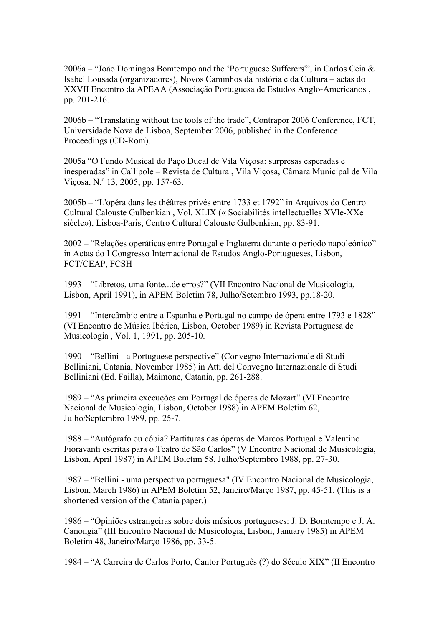2006a – "João Domingos Bomtempo and the 'Portuguese Sufferers'", in Carlos Ceia & Isabel Lousada (organizadores), Novos Caminhos da história e da Cultura – actas do XXVII Encontro da APEAA (Associação Portuguesa de Estudos Anglo-Americanos , pp. 201-216.

2006b – "Translating without the tools of the trade", Contrapor 2006 Conference, FCT, Universidade Nova de Lisboa, September 2006, published in the Conference Proceedings (CD-Rom).

2005a "O Fundo Musical do Paço Ducal de Vila Viçosa: surpresas esperadas e inesperadas" in Callipole – Revista de Cultura , Vila Viçosa, Câmara Municipal de Vila Viçosa, N.º 13, 2005; pp. 157-63.

2005b – "L'opéra dans les théâtres privés entre 1733 et 1792" in Arquivos do Centro Cultural Calouste Gulbenkian , Vol. XLIX (« Sociabilités intellectuelles XVIe-XXe siècle»), Lisboa-Paris, Centro Cultural Calouste Gulbenkian, pp. 83-91.

2002 – "Relações operáticas entre Portugal e Inglaterra durante o período napoleónico" in Actas do I Congresso Internacional de Estudos Anglo-Portugueses, Lisbon, FCT/CEAP, FCSH

1993 – "Libretos, uma fonte...de erros?" (VII Encontro Nacional de Musicologia, Lisbon, April 1991), in APEM Boletim 78, Julho/Setembro 1993, pp.18-20.

1991 – "Intercâmbio entre a Espanha e Portugal no campo de ópera entre 1793 e 1828" (VI Encontro de Música Ibérica, Lisbon, October 1989) in Revista Portuguesa de Musicologia , Vol. 1, 1991, pp. 205-10.

1990 – "Bellini - a Portuguese perspective" (Convegno Internazionale di Studi Belliniani, Catania, November 1985) in Atti del Convegno Internazionale di Studi Belliniani (Ed. Failla), Maimone, Catania, pp. 261-288.

1989 – "As primeira execuções em Portugal de óperas de Mozart" (VI Encontro Nacional de Musicologia, Lisbon, October 1988) in APEM Boletim 62, Julho/Septembro 1989, pp. 25-7.

1988 – "Autógrafo ou cópia? Partituras das óperas de Marcos Portugal e Valentino Fioravanti escritas para o Teatro de São Carlos" (V Encontro Nacional de Musicologia, Lisbon, April 1987) in APEM Boletim 58, Julho/Septembro 1988, pp. 27-30.

1987 – "Bellini - uma perspectiva portuguesa" (IV Encontro Nacional de Musicologia, Lisbon, March 1986) in APEM Boletim 52, Janeiro/Março 1987, pp. 45-51. (This is a shortened version of the Catania paper.)

1986 – "Opiniões estrangeiras sobre dois músicos portugueses: J. D. Bomtempo e J. A. Canongia" (III Encontro Nacional de Musicologia, Lisbon, January 1985) in APEM Boletim 48, Janeiro/Março 1986, pp. 33-5.

1984 – "A Carreira de Carlos Porto, Cantor Português (?) do Século XIX" (II Encontro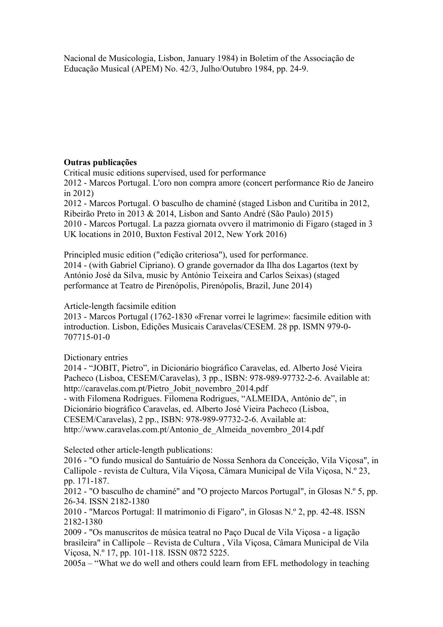Nacional de Musicologia, Lisbon, January 1984) in Boletim of the Associação de Educação Musical (APEM) No. 42/3, Julho/Outubro 1984, pp. 24-9.

# **Outras publicações**

Critical music editions supervised, used for performance

2012 - Marcos Portugal. L'oro non compra amore (concert performance Rio de Janeiro in 2012)

2012 - Marcos Portugal. O basculho de chaminé (staged Lisbon and Curitiba in 2012, Ribeirão Preto in 2013 & 2014, Lisbon and Santo André (São Paulo) 2015) 2010 - Marcos Portugal. La pazza giornata ovvero il matrimonio di Figaro (staged in 3 UK locations in 2010, Buxton Festival 2012, New York 2016)

Principled music edition ("edição criteriosa"), used for performance. 2014 - (with Gabriel Cipriano). O grande governador da Ilha dos Lagartos (text by António José da Silva, music by António Teixeira and Carlos Seixas) (staged performance at Teatro de Pirenópolis, Pirenópolis, Brazil, June 2014)

# Article-length facsimile edition

2013 - Marcos Portugal (1762-1830 «Frenar vorrei le lagrime»: facsimile edition with introduction. Lisbon, Edições Musicais Caravelas/CESEM. 28 pp. ISMN 979-0- 707715-01-0

# Dictionary entries

2014 - "JOBIT, Pietro", in Dicionário biográfico Caravelas, ed. Alberto José Vieira Pacheco (Lisboa, CESEM/Caravelas), 3 pp., ISBN: 978-989-97732-2-6. Available at: http://caravelas.com.pt/Pietro\_Jobit\_novembro\_2014.pdf - with Filomena Rodrigues. Filomena Rodrigues, "ALMEIDA, António de", in Dicionário biográfico Caravelas, ed. Alberto José Vieira Pacheco (Lisboa, CESEM/Caravelas), 2 pp., ISBN: 978-989-97732-2-6. Available at:

http://www.caravelas.com.pt/Antonio\_de\_Almeida\_novembro\_2014.pdf

Selected other article-length publications:

2016 - "O fundo musical do Santuário de Nossa Senhora da Conceição, Vila Viçosa", in Callipole - revista de Cultura, Vila Viçosa, Câmara Municipal de Vila Viçosa, N.º 23, pp. 171-187.

2012 - "O basculho de chaminé" and "O projecto Marcos Portugal", in Glosas N.º 5, pp. 26-34. ISSN 2182-1380

2010 - "Marcos Portugal: Il matrimonio di Figaro", in Glosas N.º 2, pp. 42-48. ISSN 2182-1380

2009 - "Os manuscritos de música teatral no Paço Ducal de Vila Viçosa - a ligação brasileira" in Callipole – Revista de Cultura , Vila Viçosa, Câmara Municipal de Vila Viçosa, N.º 17, pp. 101-118. ISSN 0872 5225.

2005a – "What we do well and others could learn from EFL methodology in teaching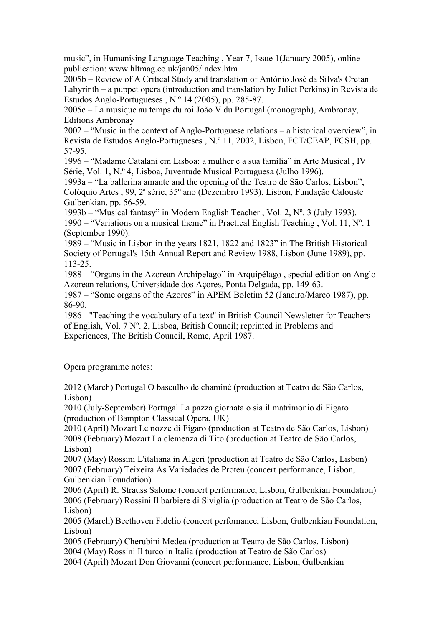music", in Humanising Language Teaching , Year 7, Issue 1(January 2005), online publication: www.hltmag.co.uk/jan05/index.htm

2005b – Review of A Critical Study and translation of António José da Silva's Cretan Labyrinth – a puppet opera (introduction and translation by Juliet Perkins) in Revista de Estudos Anglo-Portugueses , N.º 14 (2005), pp. 285-87.

2005c – La musique au temps du roi João V du Portugal (monograph), Ambronay, Editions Ambronay

2002 – "Music in the context of Anglo-Portuguese relations – a historical overview", in Revista de Estudos Anglo-Portugueses , N.º 11, 2002, Lisbon, FCT/CEAP, FCSH, pp. 57-95.

1996 – "Madame Catalani em Lisboa: a mulher e a sua família" in Arte Musical , IV Série, Vol. 1, N.º 4, Lisboa, Juventude Musical Portuguesa (Julho 1996).

1993a – "La ballerina amante and the opening of the Teatro de São Carlos, Lisbon", Colóquio Artes , 99, 2ª série, 35º ano (Dezembro 1993), Lisbon, Fundação Calouste Gulbenkian, pp. 56-59.

1993b – "Musical fantasy" in Modern English Teacher , Vol. 2, Nº. 3 (July 1993). 1990 – "Variations on a musical theme" in Practical English Teaching , Vol. 11, Nº. 1 (September 1990).

1989 – "Music in Lisbon in the years 1821, 1822 and 1823" in The British Historical Society of Portugal's 15th Annual Report and Review 1988, Lisbon (June 1989), pp. 113-25.

1988 – "Organs in the Azorean Archipelago" in Arquipélago , special edition on Anglo-Azorean relations, Universidade dos Açores, Ponta Delgada, pp. 149-63.

1987 – "Some organs of the Azores" in APEM Boletim 52 (Janeiro/Março 1987), pp. 86-90.

1986 - "Teaching the vocabulary of a text" in British Council Newsletter for Teachers of English, Vol. 7 Nº. 2, Lisboa, British Council; reprinted in Problems and Experiences, The British Council, Rome, April 1987.

Opera programme notes:

2012 (March) Portugal O basculho de chaminé (production at Teatro de São Carlos, Lisbon)

2010 (July-September) Portugal La pazza giornata o sia il matrimonio di Figaro (production of Bampton Classical Opera, UK)

2010 (April) Mozart Le nozze di Figaro (production at Teatro de São Carlos, Lisbon) 2008 (February) Mozart La clemenza di Tito (production at Teatro de São Carlos, Lisbon)

2007 (May) Rossini L'italiana in Algeri (production at Teatro de São Carlos, Lisbon) 2007 (February) Teixeira As Variedades de Proteu (concert performance, Lisbon, Gulbenkian Foundation)

2006 (April) R. Strauss Salome (concert performance, Lisbon, Gulbenkian Foundation) 2006 (February) Rossini Il barbiere di Siviglia (production at Teatro de São Carlos, Lisbon)

2005 (March) Beethoven Fidelio (concert perfomance, Lisbon, Gulbenkian Foundation, Lisbon)

2005 (February) Cherubini Medea (production at Teatro de São Carlos, Lisbon) 2004 (May) Rossini Il turco in Italia (production at Teatro de São Carlos)

2004 (April) Mozart Don Giovanni (concert performance, Lisbon, Gulbenkian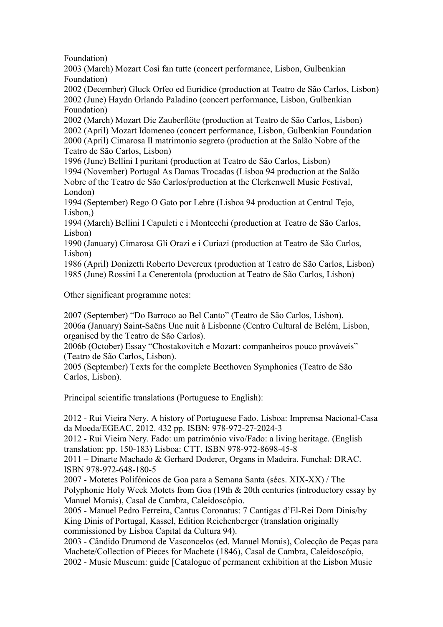Foundation)

2003 (March) Mozart Così fan tutte (concert performance, Lisbon, Gulbenkian Foundation)

2002 (December) Gluck Orfeo ed Euridice (production at Teatro de São Carlos, Lisbon) 2002 (June) Haydn Orlando Paladino (concert performance, Lisbon, Gulbenkian Foundation)

2002 (March) Mozart Die Zauberflöte (production at Teatro de São Carlos, Lisbon) 2002 (April) Mozart Idomeneo (concert performance, Lisbon, Gulbenkian Foundation 2000 (April) Cimarosa Il matrimonio segreto (production at the Salão Nobre of the Teatro de São Carlos, Lisbon)

1996 (June) Bellini I puritani (production at Teatro de São Carlos, Lisbon) 1994 (November) Portugal As Damas Trocadas (Lisboa 94 production at the Salão Nobre of the Teatro de São Carlos/production at the Clerkenwell Music Festival, London)

1994 (September) Rego O Gato por Lebre (Lisboa 94 production at Central Tejo, Lisbon,)

1994 (March) Bellini I Capuleti e i Montecchi (production at Teatro de São Carlos, Lisbon)

1990 (January) Cimarosa Gli Orazi e i Curiazi (production at Teatro de São Carlos, Lisbon)

1986 (April) Donizetti Roberto Devereux (production at Teatro de São Carlos, Lisbon) 1985 (June) Rossini La Cenerentola (production at Teatro de São Carlos, Lisbon)

Other significant programme notes:

2007 (September) "Do Barroco ao Bel Canto" (Teatro de São Carlos, Lisbon). 2006a (January) Saint-Saëns Une nuit à Lisbonne (Centro Cultural de Belém, Lisbon, organised by the Teatro de São Carlos).

2006b (October) Essay "Chostakovitch e Mozart: companheiros pouco prováveis" (Teatro de São Carlos, Lisbon).

2005 (September) Texts for the complete Beethoven Symphonies (Teatro de São Carlos, Lisbon).

Principal scientific translations (Portuguese to English):

2012 - Rui Vieira Nery. A history of Portuguese Fado. Lisboa: Imprensa Nacional-Casa da Moeda/EGEAC, 2012. 432 pp. ISBN: 978-972-27-2024-3

2012 - Rui Vieira Nery. Fado: um património vivo/Fado: a living heritage. (English translation: pp. 150-183) Lisboa: CTT. ISBN 978-972-8698-45-8

2011 – Dinarte Machado & Gerhard Doderer, Organs in Madeira. Funchal: DRAC. ISBN 978-972-648-180-5

2007 - Motetes Polifónicos de Goa para a Semana Santa (sécs. XIX-XX) / The Polyphonic Holy Week Motets from Goa (19th & 20th centuries (introductory essay by Manuel Morais), Casal de Cambra, Caleidoscópio.

2005 - Manuel Pedro Ferreira, Cantus Coronatus: 7 Cantigas d'El-Rei Dom Dinis/by King Dinis of Portugal, Kassel, Edition Reichenberger (translation originally commissioned by Lisboa Capital da Cultura 94).

2003 - Cândido Drumond de Vasconcelos (ed. Manuel Morais), Colecção de Peças para Machete/Collection of Pieces for Machete (1846), Casal de Cambra, Caleidoscópio, 2002 - Music Museum: guide [Catalogue of permanent exhibition at the Lisbon Music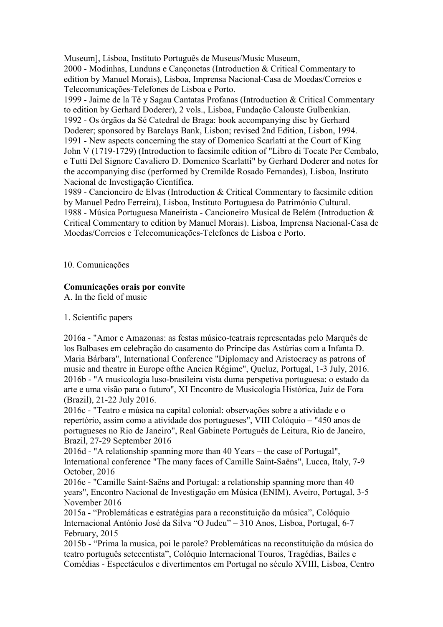Museum], Lisboa, Instituto Português de Museus/Music Museum, 2000 - Modinhas, Lunduns e Cançonetas (Introduction & Critical Commentary to edition by Manuel Morais), Lisboa, Imprensa Nacional-Casa de Moedas/Correios e Telecomunicações-Telefones de Lisboa e Porto.

1999 - Jaime de la Tê y Sagau Cantatas Profanas (Introduction & Critical Commentary to edition by Gerhard Doderer), 2 vols., Lisboa, Fundação Calouste Gulbenkian. 1992 - Os órgãos da Sé Catedral de Braga: book accompanying disc by Gerhard Doderer; sponsored by Barclays Bank, Lisbon; revised 2nd Edition, Lisbon, 1994. 1991 - New aspects concerning the stay of Domenico Scarlatti at the Court of King John V (1719-1729) (Introduction to facsimile edition of "Libro di Tocate Per Cembalo, e Tutti Del Signore Cavaliero D. Domenico Scarlatti" by Gerhard Doderer and notes for the accompanying disc (performed by Cremilde Rosado Fernandes), Lisboa, Instituto Nacional de Investigação Científica.

1989 - Cancioneiro de Elvas (Introduction & Critical Commentary to facsimile edition by Manuel Pedro Ferreira), Lisboa, Instituto Portuguesa do Património Cultural. 1988 - Música Portuguesa Maneirista - Cancioneiro Musical de Belém (Introduction & Critical Commentary to edition by Manuel Morais). Lisboa, Imprensa Nacional-Casa de Moedas/Correios e Telecomunicações-Telefones de Lisboa e Porto.

10. Comunicações

# **Comunicações orais por convite**

A. In the field of music

# 1. Scientific papers

2016a - "Amor e Amazonas: as festas músico-teatrais representadas pelo Marquês de los Balbases em celebração do casamento do Príncipe das Astúrias com a Infanta D. Maria Bárbara", International Conference "Diplomacy and Aristocracy as patrons of music and theatre in Europe ofthe Ancien Régime", Queluz, Portugal, 1-3 July, 2016. 2016b - "A musicologia luso-brasileira vista duma perspetiva portuguesa: o estado da arte e uma visão para o futuro", XI Encontro de Musicologia Histórica, Juiz de Fora (Brazil), 21-22 July 2016.

2016c - "Teatro e música na capital colonial: observações sobre a atividade e o repertório, assim como a atividade dos portugueses", VIII Colóquio – "450 anos de portugueses no Rio de Janeiro", Real Gabinete Português de Leitura, Rio de Janeiro, Brazil, 27-29 September 2016

2016d - "A relationship spanning more than 40 Years – the case of Portugal", International conference "The many faces of Camille Saint-Saëns", Lucca, Italy, 7-9 October, 2016

2016e - "Camille Saint-Saëns and Portugal: a relationship spanning more than 40 years", Encontro Nacional de Investigação em Música (ENIM), Aveiro, Portugal, 3-5 November 2016

2015a - "Problemáticas e estratégias para a reconstituição da música", Colóquio Internacional António José da Silva "O Judeu" – 310 Anos, Lisboa, Portugal, 6-7 February, 2015

2015b - "Prima la musica, poi le parole? Problemáticas na reconstituição da música do teatro português setecentista", Colóquio Internacional Touros, Tragédias, Bailes e Comédias - Espectáculos e divertimentos em Portugal no século XVIII, Lisboa, Centro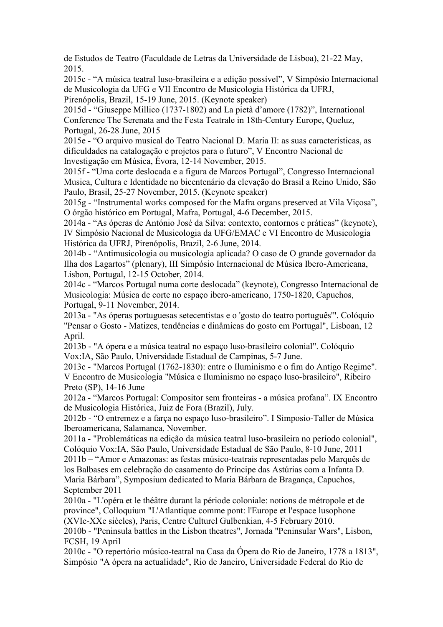de Estudos de Teatro (Faculdade de Letras da Universidade de Lisboa), 21-22 May, 2015.

2015c - "A música teatral luso-brasileira e a edição possível", V Simpósio Internacional de Musicologia da UFG e VII Encontro de Musicologia Histórica da UFRJ, Pirenópolis, Brazil, 15-19 June, 2015. (Keynote speaker)

2015d - "Giuseppe Millico (1737-1802) and La pietà d'amore (1782)", International Conference The Serenata and the Festa Teatrale in 18th-Century Europe, Queluz, Portugal, 26-28 June, 2015

2015e - "O arquivo musical do Teatro Nacional D. Maria II: as suas características, as dificuldades na catalogação e projetos para o futuro", V Encontro Nacional de Investigação em Música, Évora, 12-14 November, 2015.

2015f - "Uma corte deslocada e a figura de Marcos Portugal", Congresso Internacional Musica, Cultura e Identidade no bicentenário da elevação do Brasil a Reino Unido, São Paulo, Brasil, 25-27 November, 2015. (Keynote speaker)

2015g - "Instrumental works composed for the Mafra organs preserved at Vila Viçosa", O órgão histórico em Portugal, Mafra, Portugal, 4-6 December, 2015.

2014a - "As óperas de António José da Silva: contexto, contornos e práticas" (keynote), IV Simpósio Nacional de Musicologia da UFG/EMAC e VI Encontro de Musicologia Histórica da UFRJ, Pirenópolis, Brazil, 2-6 June, 2014.

2014b - "Antimusicologia ou musicologia aplicada? O caso de O grande governador da Ilha dos Lagartos" (plenary), III Simpósio Internacional de Música Ibero-Americana, Lisbon, Portugal, 12-15 October, 2014.

2014c - "Marcos Portugal numa corte deslocada" (keynote), Congresso Internacional de Musicologia: Música de corte no espaço ibero-americano, 1750-1820, Capuchos, Portugal, 9-11 November, 2014.

2013a - "As óperas portuguesas setecentistas e o 'gosto do teatro português'". Colóquio "Pensar o Gosto - Matizes, tendências e dinâmicas do gosto em Portugal", Lisboan, 12 April.

2013b - "A ópera e a música teatral no espaço luso-brasileiro colonial". Colóquio Vox:IA, São Paulo, Universidade Estadual de Campinas, 5-7 June.

2013c - "Marcos Portugal (1762-1830): entre o Iluminismo e o fim do Antigo Regime". V Encontro de Musicologia "Música e Iluminismo no espaço luso-brasileiro", Ribeiro Preto (SP), 14-16 June

2012a - "Marcos Portugal: Compositor sem fronteiras - a música profana". IX Encontro de Musicologia Histórica, Juiz de Fora (Brazil), July.

2012b - "O entremez e a farça no espaço luso-brasileiro". I Simposio-Taller de Música Iberoamericana, Salamanca, November.

2011a - "Problemáticas na edição da música teatral luso-brasileira no período colonial", Colóquio Vox:IA, São Paulo, Universidade Estadual de São Paulo, 8-10 June, 2011 2011b – "Amor e Amazonas: as festas músico-teatrais representadas pelo Marquês de los Balbases em celebração do casamento do Príncipe das Astúrias com a Infanta D. Maria Bárbara", Symposium dedicated to Maria Bárbara de Bragança, Capuchos, September 2011

2010a - "L'opéra et le théâtre durant la période coloniale: notions de métropole et de province", Colloquium "L'Atlantique comme pont: l'Europe et l'espace lusophone (XVIe-XXe siècles), Paris, Centre Culturel Gulbenkian, 4-5 February 2010.

2010b - "Peninsula battles in the Lisbon theatres", Jornada "Peninsular Wars", Lisbon, FCSH, 19 April

2010c - "O repertório músico-teatral na Casa da Ópera do Rio de Janeiro, 1778 a 1813", Simpósio "A ópera na actualidade", Rio de Janeiro, Universidade Federal do Rio de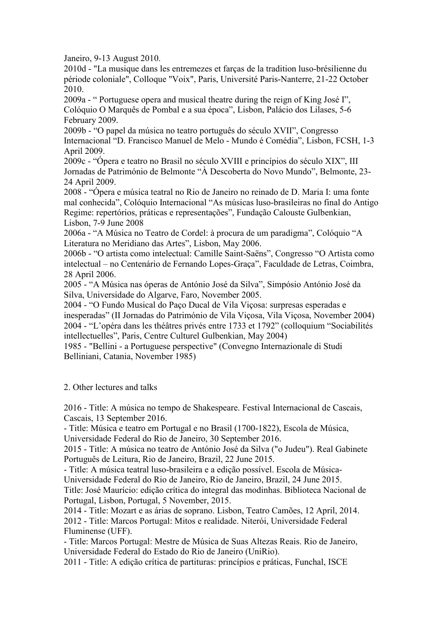Janeiro, 9-13 August 2010.

2010d - "La musique dans les entremezes et farças de la tradition luso-brésilienne du période coloniale", Colloque "Voix", Paris, Université Paris-Nanterre, 21-22 October 2010.

2009a - " Portuguese opera and musical theatre during the reign of King José I", Colóquio O Marquês de Pombal e a sua época", Lisbon, Palácio dos Lilases, 5-6 February 2009.

2009b - "O papel da música no teatro português do século XVII", Congresso Internacional "D. Francisco Manuel de Melo - Mundo é Comédia", Lisbon, FCSH, 1-3 April 2009.

2009c - "Ópera e teatro no Brasil no século XVIII e princípios do século XIX", III Jornadas de Património de Belmonte "À Descoberta do Novo Mundo", Belmonte, 23- 24 April 2009.

2008 - "Ópera e música teatral no Rio de Janeiro no reinado de D. Maria I: uma fonte mal conhecida", Colóquio Internacional "As músicas luso-brasileiras no final do Antigo Regime: repertórios, práticas e representações", Fundação Calouste Gulbenkian, Lisbon, 7-9 June 2008

2006a - "A Música no Teatro de Cordel: à procura de um paradigma", Colóquio "A Literatura no Meridiano das Artes", Lisbon, May 2006.

2006b - "O artista como intelectual: Camille Saint-Saëns", Congresso "O Artista como intelectual – no Centenário de Fernando Lopes-Graça", Faculdade de Letras, Coimbra, 28 April 2006.

2005 - "A Música nas óperas de António José da Silva", Simpósio António José da Silva, Universidade do Algarve, Faro, November 2005.

2004 - "O Fundo Musical do Paço Ducal de Vila Viçosa: surpresas esperadas e inesperadas" (II Jornadas do Património de Vila Viçosa, Vila Viçosa, November 2004) 2004 - "L'opéra dans les théâtres privés entre 1733 et 1792" (colloquium "Sociabilités intellectuelles", Paris, Centre Culturel Gulbenkian, May 2004)

1985 - "Bellini - a Portuguese perspective" (Convegno Internazionale di Studi Belliniani, Catania, November 1985)

2. Other lectures and talks

2016 - Title: A música no tempo de Shakespeare. Festival Internacional de Cascais, Cascais, 13 September 2016.

- Title: Música e teatro em Portugal e no Brasil (1700-1822), Escola de Música,

Universidade Federal do Rio de Janeiro, 30 September 2016.

2015 - Title: A música no teatro de António José da Silva ("o Judeu"). Real Gabinete Português de Leitura, Rio de Janeiro, Brazil, 22 June 2015.

- Title: A música teatral luso-brasileira e a edição possível. Escola de Música-

Universidade Federal do Rio de Janeiro, Rio de Janeiro, Brazil, 24 June 2015.

Title: José Maurício: edição crítica do integral das modinhas. Biblioteca Nacional de Portugal, Lisbon, Portugal, 5 November, 2015.

2014 - Title: Mozart e as árias de soprano. Lisbon, Teatro Camões, 12 April, 2014. 2012 - Title: Marcos Portugal: Mitos e realidade. Niterói, Universidade Federal Fluminense (UFF).

- Title: Marcos Portugal: Mestre de Música de Suas Altezas Reais. Rio de Janeiro, Universidade Federal do Estado do Rio de Janeiro (UniRio).

2011 - Title: A edição crítica de partituras: princípios e práticas, Funchal, ISCE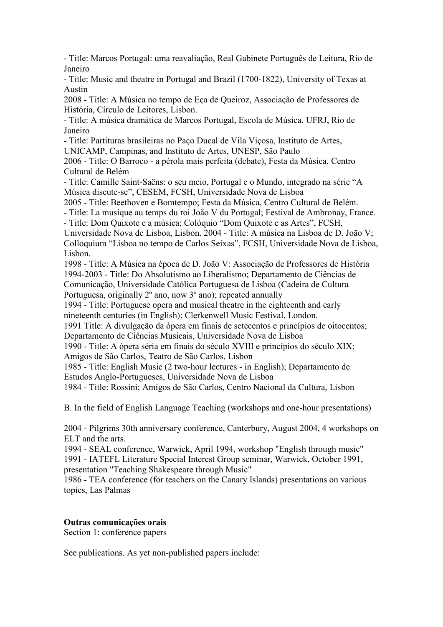- Title: Marcos Portugal: uma reavaliação, Real Gabinete Português de Leitura, Rio de Janeiro

- Title: Music and theatre in Portugal and Brazil (1700-1822), University of Texas at Austin

2008 - Title: A Música no tempo de Eça de Queiroz, Associação de Professores de História, Círculo de Leitores, Lisbon.

- Title: A música dramática de Marcos Portugal, Escola de Música, UFRJ, Rio de Janeiro

- Title: Partituras brasileiras no Paço Ducal de Vila Viçosa, Instituto de Artes,

UNICAMP, Campinas, and Instituto de Artes, UNESP, São Paulo

2006 - Title: O Barroco - a pérola mais perfeita (debate), Festa da Música, Centro Cultural de Belém

- Title: Camille Saint-Saëns: o seu meio, Portugal e o Mundo, integrado na série "A Música discute-se", CESEM, FCSH, Universidade Nova de Lisboa

2005 - Title: Beethoven e Bomtempo; Festa da Música, Centro Cultural de Belém.

- Title: La musique au temps du roi João V du Portugal; Festival de Ambronay, France.

- Title: Dom Quixote e a música; Colóquio "Dom Quixote e as Artes", FCSH,

Universidade Nova de Lisboa, Lisbon. 2004 - Title: A música na Lisboa de D. João V; Colloquium "Lisboa no tempo de Carlos Seixas", FCSH, Universidade Nova de Lisboa, Lisbon.

1998 - Title: A Música na época de D. João V: Associação de Professores de História 1994-2003 - Title: Do Absolutismo ao Liberalismo; Departamento de Ciências de Comunicação, Universidade Católica Portuguesa de Lisboa (Cadeira de Cultura Portuguesa, originally 2º ano, now 3º ano); repeated annually

1994 - Title: Portuguese opera and musical theatre in the eighteenth and early nineteenth centuries (in English); Clerkenwell Music Festival, London.

1991 Title: A divulgação da ópera em finais de setecentos e princípios de oitocentos; Departamento de Ciências Musicais, Universidade Nova de Lisboa

1990 - Title: A ópera séria em finais do século XVIII e princípios do século XIX; Amigos de São Carlos, Teatro de São Carlos, Lisbon

1985 - Title: English Music (2 two-hour lectures - in English); Departamento de Estudos Anglo-Portugueses, Universidade Nova de Lisboa

1984 - Title: Rossini; Amigos de São Carlos, Centro Nacional da Cultura, Lisbon

B. In the field of English Language Teaching (workshops and one-hour presentations)

2004 - Pilgrims 30th anniversary conference, Canterbury, August 2004, 4 workshops on ELT and the arts.

1994 - SEAL conference, Warwick, April 1994, workshop "English through music" 1991 - IATEFL Literature Special Interest Group seminar, Warwick, October 1991, presentation "Teaching Shakespeare through Music"

1986 - TEA conference (for teachers on the Canary Islands) presentations on various topics, Las Palmas

#### **Outras comunicações orais**

Section 1: conference papers

See publications. As yet non-published papers include: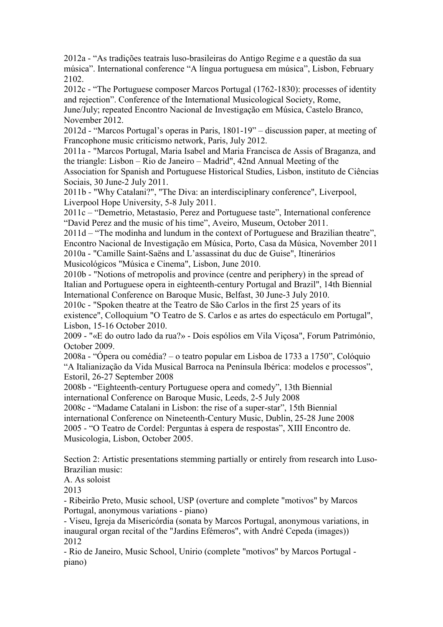2012a - "As tradições teatrais luso-brasileiras do Antigo Regime e a questão da sua música". International conference "A língua portuguesa em música", Lisbon, February 2102.

2012c - "The Portuguese composer Marcos Portugal (1762-1830): processes of identity and rejection". Conference of the International Musicological Society, Rome, June/July; repeated Encontro Nacional de Investigação em Música, Castelo Branco,

November 2012.

2012d - "Marcos Portugal's operas in Paris, 1801-19" – discussion paper, at meeting of Francophone music criticismo network, Paris, July 2012.

2011a - "Marcos Portugal, Maria Isabel and Maria Francisca de Assis of Braganza, and the triangle: Lisbon – Rio de Janeiro – Madrid", 42nd Annual Meeting of the

Association for Spanish and Portuguese Historical Studies, Lisbon, instituto de Ciências Sociais, 30 June-2 July 2011.

2011b - "Why Catalani?", "The Diva: an interdisciplinary conference", Liverpool, Liverpool Hope University, 5-8 July 2011.

2011c – "Demetrio, Metastasio, Perez and Portuguese taste", International conference "David Perez and the music of his time", Aveiro, Museum, October 2011.

2011d – "The modinha and lundum in the context of Portuguese and Brazilian theatre", Encontro Nacional de Investigação em Música, Porto, Casa da Música, November 2011 2010a - "Camille Saint-Saëns and L'assassinat du duc de Guise", Itinerários Musicológicos "Música e Cinema", Lisbon, June 2010.

2010b - "Notions of metropolis and province (centre and periphery) in the spread of Italian and Portuguese opera in eighteenth-century Portugal and Brazil", 14th Biennial International Conference on Baroque Music, Belfast, 30 June-3 July 2010.

2010c - "Spoken theatre at the Teatro de São Carlos in the first 25 years of its existence", Colloquium "O Teatro de S. Carlos e as artes do espectáculo em Portugal", Lisbon, 15-16 October 2010.

2009 - "«E do outro lado da rua?» - Dois espólios em Vila Viçosa", Forum Património, October 2009.

2008a - "Ópera ou comédia? – o teatro popular em Lisboa de 1733 a 1750", Colóquio "A Italianização da Vida Musical Barroca na Península Ibérica: modelos e processos", Estoril, 26-27 September 2008

2008b - "Eighteenth-century Portuguese opera and comedy", 13th Biennial international Conference on Baroque Music, Leeds, 2-5 July 2008

2008c - "Madame Catalani in Lisbon: the rise of a super-star", 15th Biennial international Conference on Nineteenth-Century Music, Dublin, 25-28 June 2008

2005 - "O Teatro de Cordel: Perguntas à espera de respostas", XIII Encontro de. Musicologia, Lisbon, October 2005.

Section 2: Artistic presentations stemming partially or entirely from research into Luso-Brazilian music:

A. As soloist

2013

- Ribeirão Preto, Music school, USP (overture and complete "motivos" by Marcos Portugal, anonymous variations - piano)

- Viseu, Igreja da Misericórdia (sonata by Marcos Portugal, anonymous variations, in inaugural organ recital of the "Jardins Efémeros", with André Cepeda (images)) 2012

- Rio de Janeiro, Music School, Unirio (complete "motivos" by Marcos Portugal piano)